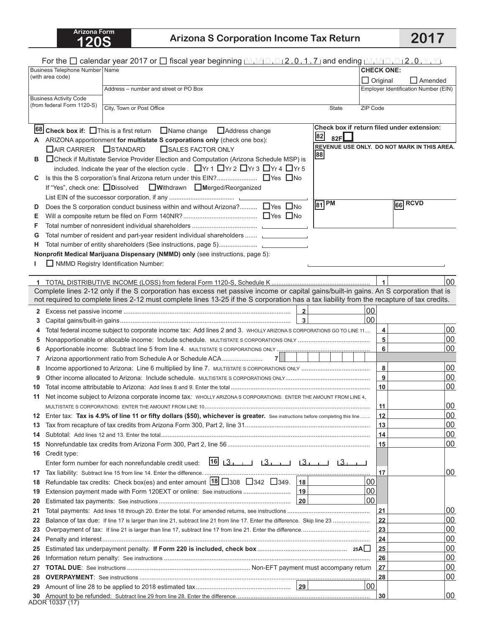## **120S Arizona S Corporation Income Tax Return 2017**

|                                                             | For the $\Box$ calendar year 2017 or $\Box$ fiscal year beginning $[M, M_1D, D_12, 0, 1, 7]$ and ending $[M, M_1D, D_12, 0, Y, Y]$ .      |              |                  |                                      |                                             |  |
|-------------------------------------------------------------|-------------------------------------------------------------------------------------------------------------------------------------------|--------------|------------------|--------------------------------------|---------------------------------------------|--|
|                                                             | Business Telephone Number Name                                                                                                            |              |                  | <b>CHECK ONE:</b>                    |                                             |  |
|                                                             | (with area code)                                                                                                                          |              |                  | $\Box$ Original                      | $\Box$ Amended                              |  |
| Address - number and street or PO Box                       |                                                                                                                                           |              |                  | Employer Identification Number (EIN) |                                             |  |
| <b>Business Activity Code</b><br>(from federal Form 1120-S) |                                                                                                                                           |              |                  |                                      |                                             |  |
|                                                             | City, Town or Post Office                                                                                                                 |              | <b>State</b>     | ZIP Code                             |                                             |  |
|                                                             |                                                                                                                                           |              |                  |                                      |                                             |  |
|                                                             | <b>68 Check box if:</b> $\Box$ This is a first return $\Box$ Name change $\Box$ Address change                                            |              |                  |                                      | Check box if return filed under extension:  |  |
| A                                                           | ARIZONA apportionment for multistate S corporations only (check one box):                                                                 |              | 82<br>82F $\Box$ |                                      |                                             |  |
|                                                             | □ AIR CARRIER □ STANDARD<br>SALES FACTOR ONLY                                                                                             |              | 88               |                                      | REVENUE USE ONLY. DO NOT MARK IN THIS AREA. |  |
| в                                                           | □ Check if Multistate Service Provider Election and Computation (Arizona Schedule MSP) is                                                 |              |                  |                                      |                                             |  |
|                                                             | included. Indicate the year of the election cycle. ■Yr 1 ■Yr 2 ■Yr 3 ■Yr 4 ■Yr 5                                                          |              |                  |                                      |                                             |  |
| C                                                           |                                                                                                                                           |              |                  |                                      |                                             |  |
|                                                             | If "Yes", check one: Dissolved UWithdrawn DIMerged/Reorganized                                                                            |              |                  |                                      |                                             |  |
|                                                             |                                                                                                                                           |              | $\sqrt{81}$ PM   |                                      | 66 RCVD                                     |  |
| D                                                           | Does the S corporation conduct business within and without Arizona? $\Box$ Yes $\Box$ No                                                  |              |                  |                                      |                                             |  |
| Е                                                           |                                                                                                                                           |              |                  |                                      |                                             |  |
| F                                                           |                                                                                                                                           |              |                  |                                      |                                             |  |
| G                                                           | Total number of resident and part-year resident individual shareholders                                                                   |              |                  |                                      |                                             |  |
| н                                                           |                                                                                                                                           |              |                  |                                      |                                             |  |
|                                                             | Nonprofit Medical Marijuana Dispensary (NMMD) only (see instructions, page 5):                                                            |              |                  |                                      |                                             |  |
|                                                             | NMMD Registry Identification Number:                                                                                                      |              |                  |                                      |                                             |  |
|                                                             |                                                                                                                                           |              |                  | $\mathbf{1}$                         | 00                                          |  |
|                                                             | Complete lines 2-12 only if the S corporation has excess net passive income or capital gains/built-in gains. An S corporation that is     |              |                  |                                      |                                             |  |
|                                                             | not required to complete lines 2-12 must complete lines 13-25 if the S corporation has a tax liability from the recapture of tax credits. |              |                  |                                      |                                             |  |
| $\mathbf{2}$                                                |                                                                                                                                           | $\mathbf 2$  |                  | 00                                   |                                             |  |
| 3                                                           |                                                                                                                                           |              |                  | 00                                   |                                             |  |
| 4                                                           | Total federal income subject to corporate income tax: Add lines 2 and 3. WHOLLY ARIZONA S CORPORATIONS GO TO LINE 11                      |              |                  | 4                                    | 00                                          |  |
| 5                                                           |                                                                                                                                           |              |                  | 5                                    | 00                                          |  |
| 6                                                           |                                                                                                                                           |              |                  | 6                                    | 00                                          |  |
| 7                                                           | 7 <sup>1</sup>                                                                                                                            |              |                  |                                      |                                             |  |
| 8                                                           |                                                                                                                                           |              |                  | 8                                    | 00                                          |  |
| 9                                                           |                                                                                                                                           |              |                  | 9                                    | 00                                          |  |
| 10                                                          |                                                                                                                                           |              |                  | 10                                   | 00                                          |  |
| 11                                                          | Net income subject to Arizona corporate income tax: WHOLLY ARIZONA S CORPORATIONS: ENTER THE AMOUNT FROM LINE 4.                          |              |                  |                                      |                                             |  |
|                                                             |                                                                                                                                           |              |                  | 11                                   | 00                                          |  |
| 12                                                          | Enter tax: Tax is 4.9% of line 11 or fifty dollars (\$50), whichever is greater. See instructions before completing this line             |              |                  | 12                                   | 00                                          |  |
| 13                                                          |                                                                                                                                           |              |                  | 13                                   | 00                                          |  |
| 14                                                          |                                                                                                                                           |              |                  | 14                                   | 100                                         |  |
| 15                                                          |                                                                                                                                           |              |                  | 15                                   | 100                                         |  |
| 16                                                          | Credit type:                                                                                                                              |              |                  |                                      |                                             |  |
|                                                             | Enter form number for each nonrefundable credit used:                                                                                     |              |                  |                                      |                                             |  |
| 17                                                          |                                                                                                                                           |              |                  | 17                                   | 00                                          |  |
| 18                                                          | Refundable tax credits: Check box(es) and enter amount $18\overline{\smash{)}308\overline{\smash{}}342\overline{\smash{}}349.18}$         |              |                  | 00                                   |                                             |  |
| 19                                                          | Extension payment made with Form 120EXT or online: See instructions                                                                       | 19           |                  | 00                                   |                                             |  |
| 20                                                          |                                                                                                                                           | $ 20\rangle$ |                  | 100                                  |                                             |  |
| 21                                                          |                                                                                                                                           |              |                  | 21                                   | 00                                          |  |
| 22                                                          |                                                                                                                                           |              |                  | 22                                   | 00<br>00                                    |  |
| 23                                                          |                                                                                                                                           |              |                  | 23                                   | 00                                          |  |
| 24<br>25                                                    |                                                                                                                                           |              |                  | 24<br>25                             | 00                                          |  |
| 26                                                          |                                                                                                                                           |              |                  | 26                                   | 00                                          |  |
| 27                                                          |                                                                                                                                           |              |                  | 27                                   | 00                                          |  |
| 28                                                          |                                                                                                                                           |              |                  | 28                                   | 00                                          |  |
| 29                                                          |                                                                                                                                           |              |                  | 00                                   |                                             |  |
| 30                                                          |                                                                                                                                           |              |                  | 30                                   | 100                                         |  |
|                                                             | ADOR 10337 (17)                                                                                                                           |              |                  |                                      |                                             |  |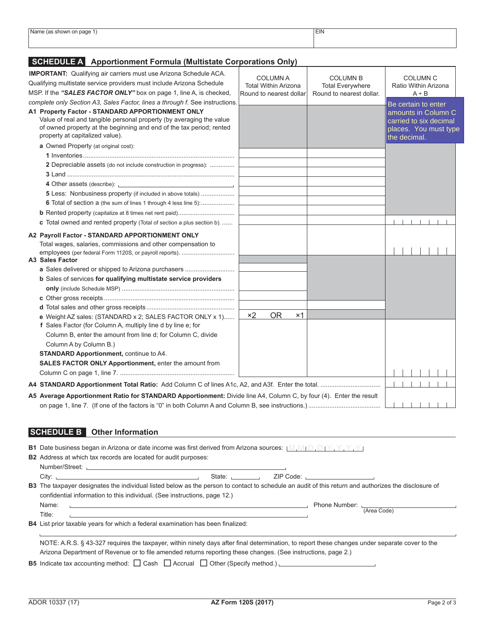| Name (as shown on page 1        | TIR<br>EIN |  |
|---------------------------------|------------|--|
| the contract of the contract of |            |  |
|                                 |            |  |
|                                 |            |  |
|                                 |            |  |

## **Schedule A Apportionment Formula (Multistate Corporations Only)**

| <b>IMPORTANT:</b> Qualifying air carriers must use Arizona Schedule ACA.<br>Qualifying multistate service providers must include Arizona Schedule<br>MSP. If the "SALES FACTOR ONLY" box on page 1, line A, is checked,                                                                                                                                                            | <b>COLUMN A</b><br><b>Total Within Arizona</b><br>Round to nearest dollar | <b>COLUMN B</b><br><b>Total Everywhere</b><br>Round to nearest dollar. | <b>COLUMN C</b><br>Ratio Within Arizona<br>$A \div B$                                                         |
|------------------------------------------------------------------------------------------------------------------------------------------------------------------------------------------------------------------------------------------------------------------------------------------------------------------------------------------------------------------------------------|---------------------------------------------------------------------------|------------------------------------------------------------------------|---------------------------------------------------------------------------------------------------------------|
| complete only Section A3, Sales Factor, lines a through f. See instructions.<br>A1 Property Factor - STANDARD APPORTIONMENT ONLY<br>Value of real and tangible personal property (by averaging the value<br>of owned property at the beginning and end of the tax period; rented<br>property at capitalized value).                                                                |                                                                           |                                                                        | Be certain to enter<br>amounts in Column C<br>carried to six decimal<br>places. You must type<br>the decimal. |
| a Owned Property (at original cost):<br>2 Depreciable assets (do not include construction in progress):                                                                                                                                                                                                                                                                            |                                                                           |                                                                        |                                                                                                               |
| 4 Other assets (describe): <u>contract and a set of the set of the set of the set of the set of the set of the set of the set of the set of the set of the set of the set of the set of the set of the set of the set of the set</u><br><b>5</b> Less: Nonbusiness property (if included in above totals)<br>c Total owned and rented property (Total of section a plus section b) |                                                                           |                                                                        |                                                                                                               |
| A2 Payroll Factor - STANDARD APPORTIONMENT ONLY<br>Total wages, salaries, commissions and other compensation to<br>A3 Sales Factor                                                                                                                                                                                                                                                 |                                                                           |                                                                        |                                                                                                               |
| a Sales delivered or shipped to Arizona purchasers<br>b Sales of services for qualifying multistate service providers                                                                                                                                                                                                                                                              |                                                                           |                                                                        |                                                                                                               |
| e Weight AZ sales: (STANDARD x 2; SALES FACTOR ONLY x 1)<br>f Sales Factor (for Column A, multiply line d by line e; for<br>Column B, enter the amount from line d; for Column C, divide<br>Column A by Column B.)<br><b>STANDARD Apportionment, continue to A4.</b><br>SALES FACTOR ONLY Apportionment, enter the amount from                                                     | <b>OR</b><br>$\times 2$<br>$\times$ 1                                     |                                                                        |                                                                                                               |
|                                                                                                                                                                                                                                                                                                                                                                                    |                                                                           |                                                                        |                                                                                                               |
| A5 Average Apportionment Ratio for STANDARD Apportionment: Divide line A4, Column C, by four (4). Enter the result                                                                                                                                                                                                                                                                 |                                                                           |                                                                        |                                                                                                               |

## **Schedule B Other Information**

| <b>B1</b> Date business began in Arizona or date income was first derived from Arizona sources: $[M_1M_1D_2D_1Y_1Y_1Y_2]$                                                                                                               |                                  |                           |  |
|-----------------------------------------------------------------------------------------------------------------------------------------------------------------------------------------------------------------------------------------|----------------------------------|---------------------------|--|
| <b>B2</b> Address at which tax records are located for audit purposes:                                                                                                                                                                  |                                  |                           |  |
|                                                                                                                                                                                                                                         |                                  |                           |  |
| State: the state of the state of the state of the state of the state of the state of the state of the state of the state of the state of the state of the state of the state of the state of the state of the state of the sta<br>City: | ZIP Code: , ____________________ |                           |  |
| <b>B3</b> The taxpayer designates the individual listed below as the person to contact to schedule an audit of this return and authorizes the disclosure of                                                                             |                                  |                           |  |
| confidential information to this individual. (See instructions, page 12.)                                                                                                                                                               |                                  |                           |  |
| Name:<br>the contract of the contract of the contract of the contract of the contract of the contract of the contract of                                                                                                                |                                  | Phone Number: (Area Code) |  |
| Title:                                                                                                                                                                                                                                  |                                  |                           |  |
| <b>B4</b> List prior taxable years for which a federal examination has been finalized:                                                                                                                                                  |                                  |                           |  |
| NOTE: A.R.S. § 43-327 requires the taxpayer, within ninety days after final determination, to report these changes under separate cover to the                                                                                          |                                  |                           |  |
| Arizona Department of Revenue or to file amended returns reporting these changes. (See instructions, page 2.)                                                                                                                           |                                  |                           |  |
| <b>B5</b> Indicate tax accounting method: $\Box$ Cash $\Box$ Accrual $\Box$ Other (Specify method.)                                                                                                                                     |                                  |                           |  |